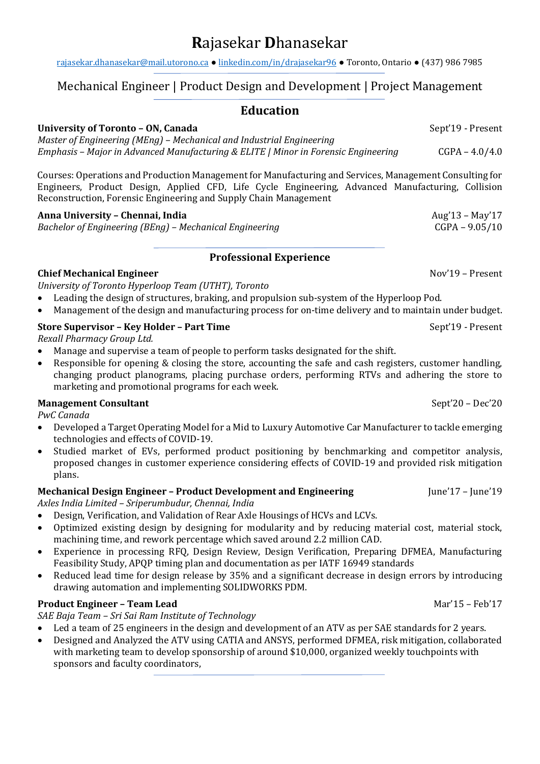# **R**ajasekar **D**hanasekar

[rajasekar.dhanasekar@mail.utorono.ca](mailto:rajasekar.dhanasekar@mail.utorono.ca) ● [linkedin.com/in/drajasekar96](http://www.linked.com/in/drajasekar96) ● Toronto, Ontario ● (437) 986 7985

# Mechanical Engineer | Product Design and Development | Project Management

# **Education**

#### **University of Toronto – ON, Canada** Sept'19 - Present

*Master of Engineering (MEng) – Mechanical and Industrial Engineering Emphasis – Major in Advanced Manufacturing & ELITE | Minor in Forensic Engineering* CGPA – 4.0/4.0

Courses: Operations and Production Management for Manufacturing and Services, Management Consulting for Engineers, Product Design, Applied CFD, Life Cycle Engineering, Advanced Manufacturing, Collision Reconstruction, Forensic Engineering and Supply Chain Management

#### **Anna University – Chennai, India** Aug'13 – May'17

*Bachelor of Engineering (BEng) – Mechanical Engineering* CGPA – 9.05/10

# **Professional Experience**

# **Chief Mechanical Engineer** Nov'19 – Present

*University of Toronto Hyperloop Team (UTHT), Toronto*

- Leading the design of structures, braking, and propulsion sub-system of the Hyperloop Pod.
- Management of the design and manufacturing process for on-time delivery and to maintain under budget.

# **Store Supervisor – Key Holder – Part Time** Sept'19 - Present

*Rexall Pharmacy Group Ltd.*

- Manage and supervise a team of people to perform tasks designated for the shift.
- Responsible for opening & closing the store, accounting the safe and cash registers, customer handling, changing product planograms, placing purchase orders, performing RTVs and adhering the store to marketing and promotional programs for each week.

# **Management Consultant** Sept'20 – Dec'20

*PwC Canada*

- Developed a Target Operating Model for a Mid to Luxury Automotive Car Manufacturer to tackle emerging technologies and effects of COVID-19.
- Studied market of EVs, performed product positioning by benchmarking and competitor analysis, proposed changes in customer experience considering effects of COVID-19 and provided risk mitigation plans.

# **Mechanical Design Engineer – Product Development and Engineering June'17 – June'19**

*Axles India Limited – Sriperumbudur, Chennai, India*

- Design, Verification, and Validation of Rear Axle Housings of HCVs and LCVs.
- Optimized existing design by designing for modularity and by reducing material cost, material stock, machining time, and rework percentage which saved around 2.2 million CAD.
- Experience in processing RFQ, Design Review, Design Verification, Preparing DFMEA, Manufacturing Feasibility Study, APQP timing plan and documentation as per IATF 16949 standards
- Reduced lead time for design release by 35% and a significant decrease in design errors by introducing drawing automation and implementing SOLIDWORKS PDM.

# **Product Engineer – Team Lead** Mar'15 – Feb'17

*SAE Baja Team – Sri Sai Ram Institute of Technology*

- Led a team of 25 engineers in the design and development of an ATV as per SAE standards for 2 years.
- Designed and Analyzed the ATV using CATIA and ANSYS, performed DFMEA, risk mitigation, collaborated with marketing team to develop sponsorship of around \$10,000, organized weekly touchpoints with sponsors and faculty coordinators,